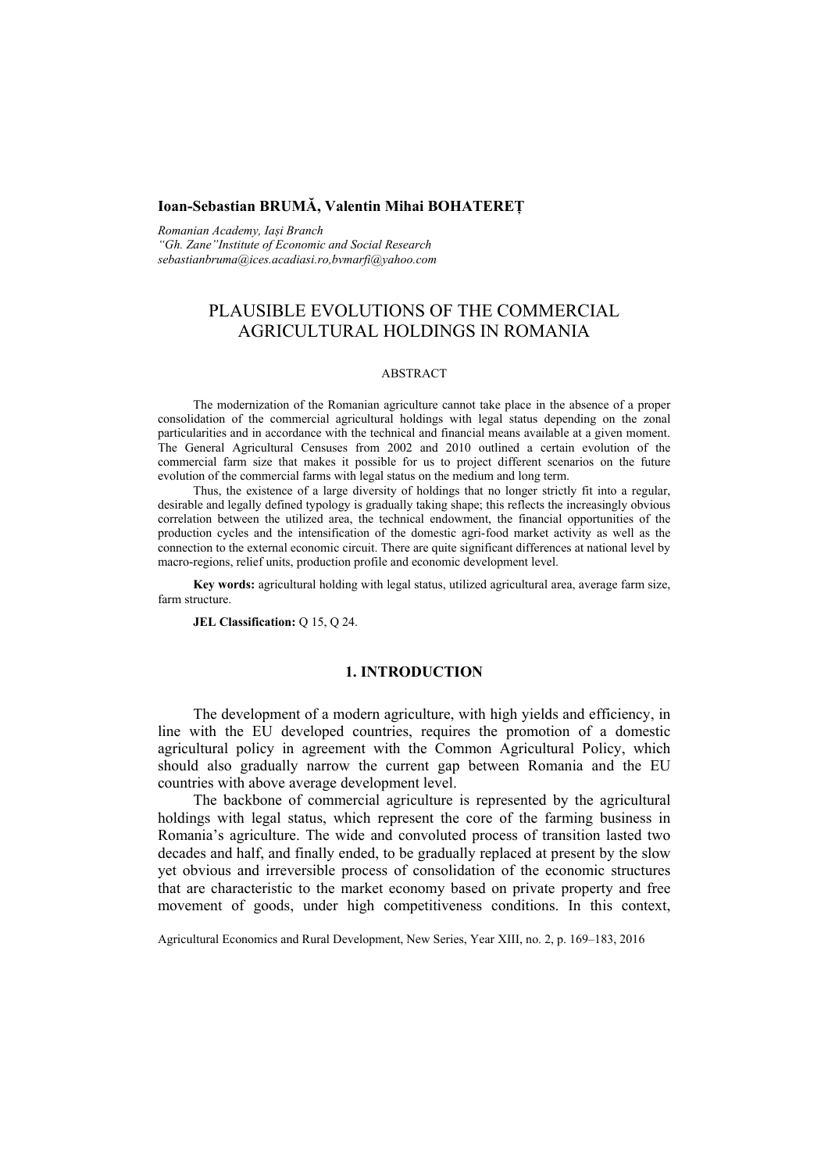# **Ioan-Sebastian BRUMĂ, Valentin Mihai BOHATEREŢ**

*Romanian Academy, Iași Branch "Gh. Zane"Institute of Economic and Social Research sebastianbruma@ices.acadiasi.ro,bvmarfi@yahoo.com*

# PLAUSIBLE EVOLUTIONS OF THE COMMERCIAL AGRICULTURAL HOLDINGS IN ROMANIA

#### ABSTRACT

The modernization of the Romanian agriculture cannot take place in the absence of a proper consolidation of the commercial agricultural holdings with legal status depending on the zonal particularities and in accordance with the technical and financial means available at a given moment. The General Agricultural Censuses from 2002 and 2010 outlined a certain evolution of the commercial farm size that makes it possible for us to project different scenarios on the future evolution of the commercial farms with legal status on the medium and long term.

Thus, the existence of a large diversity of holdings that no longer strictly fit into a regular, desirable and legally defined typology is gradually taking shape; this reflects the increasingly obvious correlation between the utilized area, the technical endowment, the financial opportunities of the production cycles and the intensification of the domestic agri-food market activity as well as the connection to the external economic circuit. There are quite significant differences at national level by macro-regions, relief units, production profile and economic development level.

**Key words:** agricultural holding with legal status, utilized agricultural area, average farm size, farm structure.

**JEL Classification:** Q 15, Q 24.

### **1. INTRODUCTION**

The development of a modern agriculture, with high yields and efficiency, in line with the EU developed countries, requires the promotion of a domestic agricultural policy in agreement with the Common Agricultural Policy, which should also gradually narrow the current gap between Romania and the EU countries with above average development level.

The backbone of commercial agriculture is represented by the agricultural holdings with legal status, which represent the core of the farming business in Romania's agriculture. The wide and convoluted process of transition lasted two decades and half, and finally ended, to be gradually replaced at present by the slow yet obvious and irreversible process of consolidation of the economic structures that are characteristic to the market economy based on private property and free movement of goods, under high competitiveness conditions. In this context,

Agricultural Economics and Rural Development, New Series, Year XIII, no. 2, p. 169–183, 2016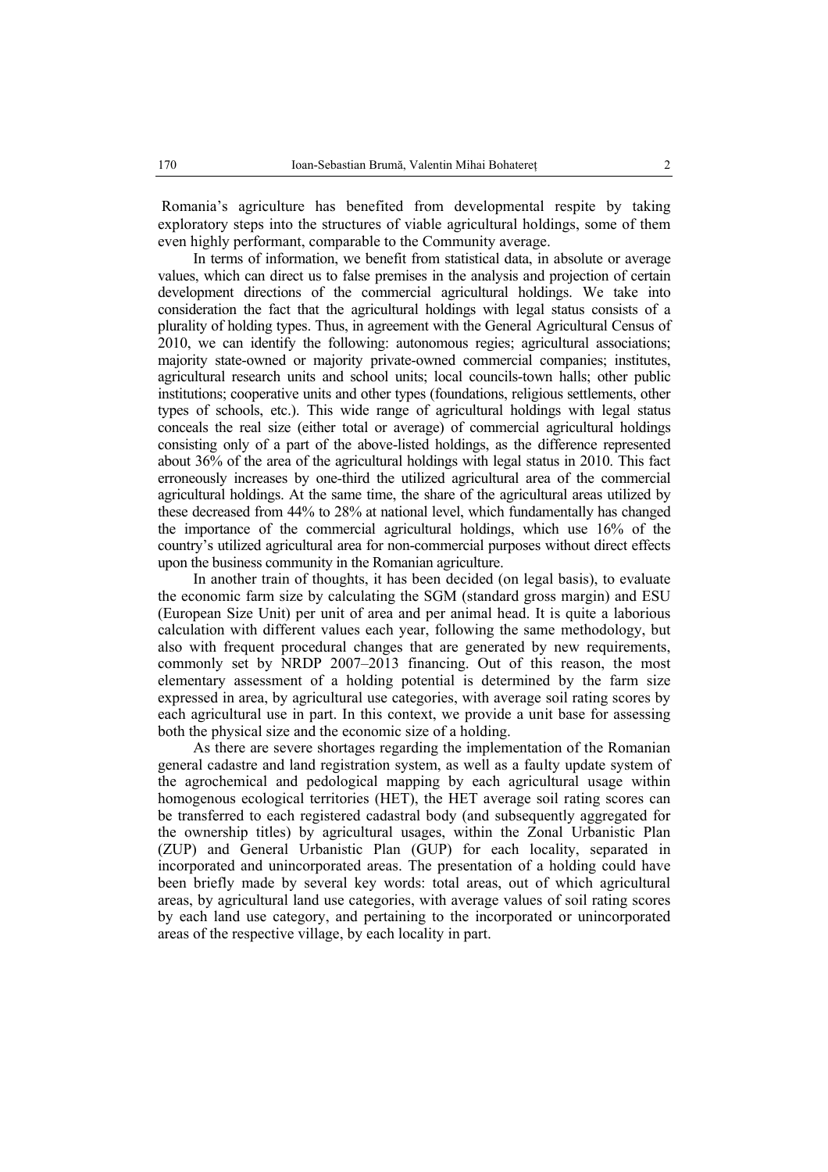Romania's agriculture has benefited from developmental respite by taking exploratory steps into the structures of viable agricultural holdings, some of them even highly performant, comparable to the Community average.

In terms of information, we benefit from statistical data, in absolute or average values, which can direct us to false premises in the analysis and projection of certain development directions of the commercial agricultural holdings. We take into consideration the fact that the agricultural holdings with legal status consists of a plurality of holding types. Thus, in agreement with the General Agricultural Census of 2010, we can identify the following: autonomous regies; agricultural associations; majority state-owned or majority private-owned commercial companies; institutes, agricultural research units and school units; local councils-town halls; other public institutions; cooperative units and other types (foundations, religious settlements, other types of schools, etc.). This wide range of agricultural holdings with legal status conceals the real size (either total or average) of commercial agricultural holdings consisting only of a part of the above-listed holdings, as the difference represented about 36% of the area of the agricultural holdings with legal status in 2010. This fact erroneously increases by one-third the utilized agricultural area of the commercial agricultural holdings. At the same time, the share of the agricultural areas utilized by these decreased from 44% to 28% at national level, which fundamentally has changed the importance of the commercial agricultural holdings, which use 16% of the country's utilized agricultural area for non-commercial purposes without direct effects upon the business community in the Romanian agriculture.

In another train of thoughts, it has been decided (on legal basis), to evaluate the economic farm size by calculating the SGM (standard gross margin) and ESU (European Size Unit) per unit of area and per animal head. It is quite a laborious calculation with different values each year, following the same methodology, but also with frequent procedural changes that are generated by new requirements, commonly set by NRDP 2007–2013 financing. Out of this reason, the most elementary assessment of a holding potential is determined by the farm size expressed in area, by agricultural use categories, with average soil rating scores by each agricultural use in part. In this context, we provide a unit base for assessing both the physical size and the economic size of a holding.

As there are severe shortages regarding the implementation of the Romanian general cadastre and land registration system, as well as a faulty update system of the agrochemical and pedological mapping by each agricultural usage within homogenous ecological territories (HET), the HET average soil rating scores can be transferred to each registered cadastral body (and subsequently aggregated for the ownership titles) by agricultural usages, within the Zonal Urbanistic Plan (ZUP) and General Urbanistic Plan (GUP) for each locality, separated in incorporated and unincorporated areas. The presentation of a holding could have been briefly made by several key words: total areas, out of which agricultural areas, by agricultural land use categories, with average values of soil rating scores by each land use category, and pertaining to the incorporated or unincorporated areas of the respective village, by each locality in part.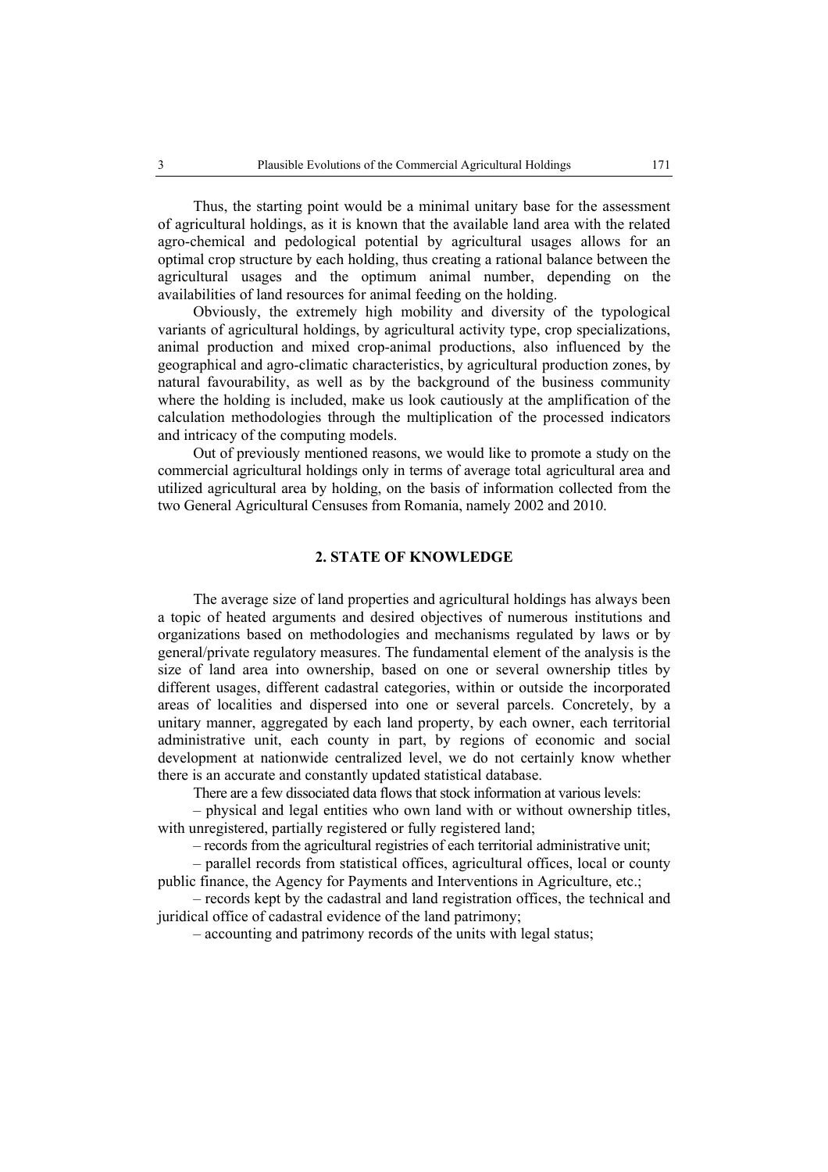Thus, the starting point would be a minimal unitary base for the assessment of agricultural holdings, as it is known that the available land area with the related agro-chemical and pedological potential by agricultural usages allows for an optimal crop structure by each holding, thus creating a rational balance between the agricultural usages and the optimum animal number, depending on the availabilities of land resources for animal feeding on the holding.

Obviously, the extremely high mobility and diversity of the typological variants of agricultural holdings, by agricultural activity type, crop specializations, animal production and mixed crop-animal productions, also influenced by the geographical and agro-climatic characteristics, by agricultural production zones, by natural favourability, as well as by the background of the business community where the holding is included, make us look cautiously at the amplification of the calculation methodologies through the multiplication of the processed indicators and intricacy of the computing models.

Out of previously mentioned reasons, we would like to promote a study on the commercial agricultural holdings only in terms of average total agricultural area and utilized agricultural area by holding, on the basis of information collected from the two General Agricultural Censuses from Romania, namely 2002 and 2010.

### **2. STATE OF KNOWLEDGE**

The average size of land properties and agricultural holdings has always been a topic of heated arguments and desired objectives of numerous institutions and organizations based on methodologies and mechanisms regulated by laws or by general/private regulatory measures. The fundamental element of the analysis is the size of land area into ownership, based on one or several ownership titles by different usages, different cadastral categories, within or outside the incorporated areas of localities and dispersed into one or several parcels. Concretely, by a unitary manner, aggregated by each land property, by each owner, each territorial administrative unit, each county in part, by regions of economic and social development at nationwide centralized level, we do not certainly know whether there is an accurate and constantly updated statistical database.

There are a few dissociated data flows that stock information at various levels:

– physical and legal entities who own land with or without ownership titles, with unregistered, partially registered or fully registered land;

– records from the agricultural registries of each territorial administrative unit;

– parallel records from statistical offices, agricultural offices, local or county public finance, the Agency for Payments and Interventions in Agriculture, etc.;

– records kept by the cadastral and land registration offices, the technical and juridical office of cadastral evidence of the land patrimony;

– accounting and patrimony records of the units with legal status;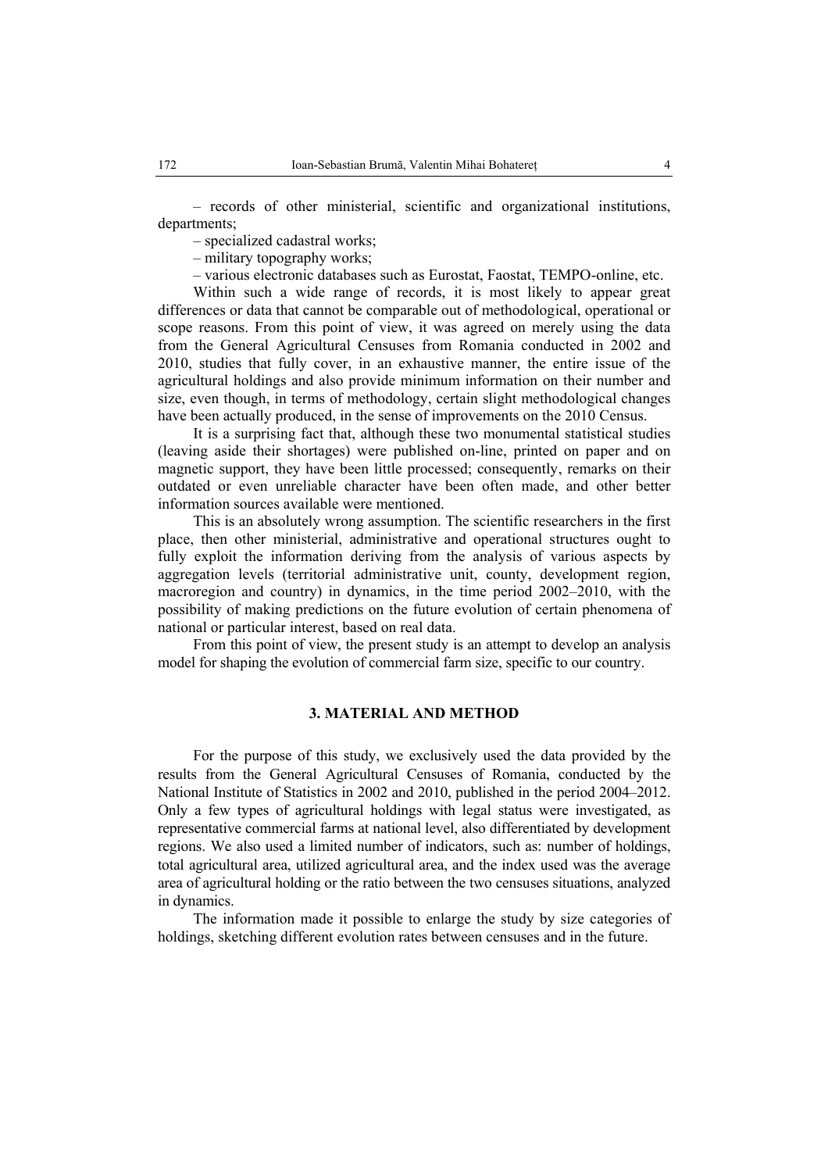– records of other ministerial, scientific and organizational institutions, departments;

– specialized cadastral works;

– military topography works;

– various electronic databases such as Eurostat, Faostat, TEMPO-online, etc.

Within such a wide range of records, it is most likely to appear great differences or data that cannot be comparable out of methodological, operational or scope reasons. From this point of view, it was agreed on merely using the data from the General Agricultural Censuses from Romania conducted in 2002 and 2010, studies that fully cover, in an exhaustive manner, the entire issue of the agricultural holdings and also provide minimum information on their number and size, even though, in terms of methodology, certain slight methodological changes have been actually produced, in the sense of improvements on the 2010 Census.

It is a surprising fact that, although these two monumental statistical studies (leaving aside their shortages) were published on-line, printed on paper and on magnetic support, they have been little processed; consequently, remarks on their outdated or even unreliable character have been often made, and other better information sources available were mentioned.

This is an absolutely wrong assumption. The scientific researchers in the first place, then other ministerial, administrative and operational structures ought to fully exploit the information deriving from the analysis of various aspects by aggregation levels (territorial administrative unit, county, development region, macroregion and country) in dynamics, in the time period 2002–2010, with the possibility of making predictions on the future evolution of certain phenomena of national or particular interest, based on real data.

From this point of view, the present study is an attempt to develop an analysis model for shaping the evolution of commercial farm size, specific to our country.

# **3. MATERIAL AND METHOD**

For the purpose of this study, we exclusively used the data provided by the results from the General Agricultural Censuses of Romania, conducted by the National Institute of Statistics in 2002 and 2010, published in the period 2004–2012. Only a few types of agricultural holdings with legal status were investigated, as representative commercial farms at national level, also differentiated by development regions. We also used a limited number of indicators, such as: number of holdings, total agricultural area, utilized agricultural area, and the index used was the average area of agricultural holding or the ratio between the two censuses situations, analyzed in dynamics.

The information made it possible to enlarge the study by size categories of holdings, sketching different evolution rates between censuses and in the future.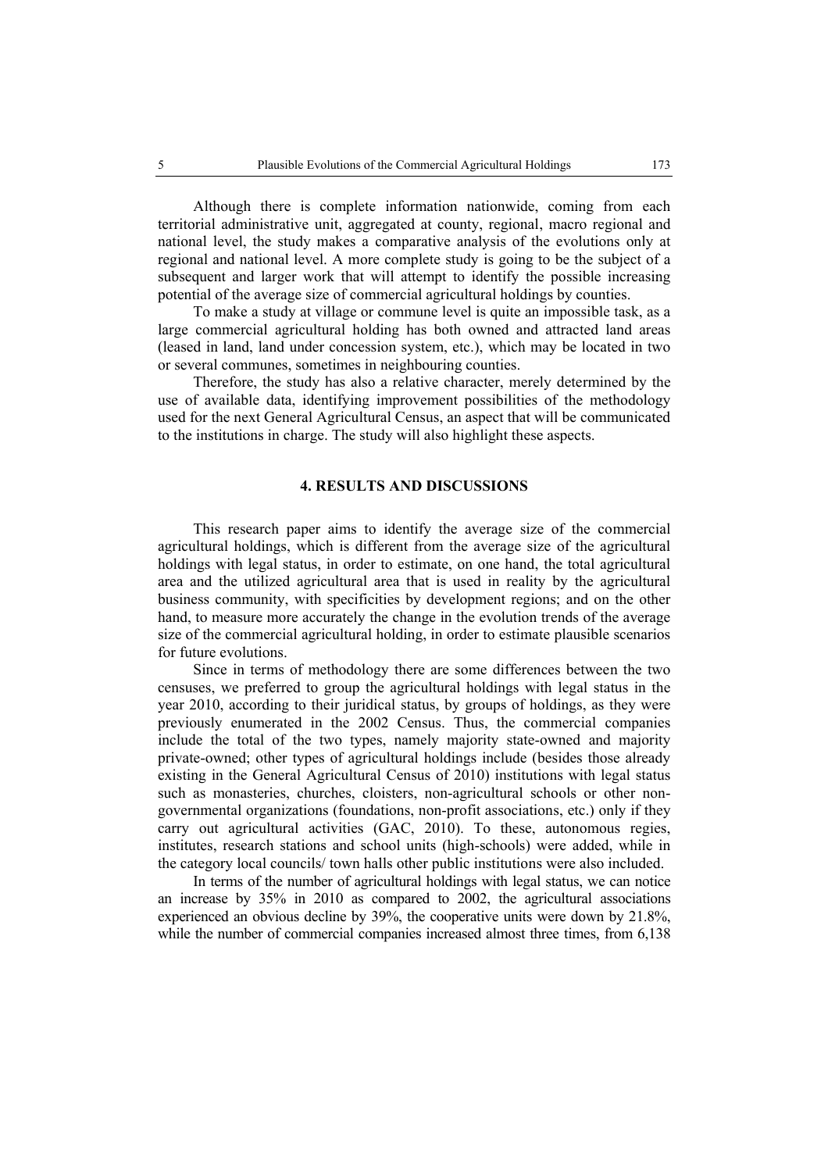Although there is complete information nationwide, coming from each territorial administrative unit, aggregated at county, regional, macro regional and national level, the study makes a comparative analysis of the evolutions only at regional and national level. A more complete study is going to be the subject of a subsequent and larger work that will attempt to identify the possible increasing potential of the average size of commercial agricultural holdings by counties.

To make a study at village or commune level is quite an impossible task, as a large commercial agricultural holding has both owned and attracted land areas (leased in land, land under concession system, etc.), which may be located in two or several communes, sometimes in neighbouring counties.

Therefore, the study has also a relative character, merely determined by the use of available data, identifying improvement possibilities of the methodology used for the next General Agricultural Census, an aspect that will be communicated to the institutions in charge. The study will also highlight these aspects.

# **4. RESULTS AND DISCUSSIONS**

This research paper aims to identify the average size of the commercial agricultural holdings, which is different from the average size of the agricultural holdings with legal status, in order to estimate, on one hand, the total agricultural area and the utilized agricultural area that is used in reality by the agricultural business community, with specificities by development regions; and on the other hand, to measure more accurately the change in the evolution trends of the average size of the commercial agricultural holding, in order to estimate plausible scenarios for future evolutions.

Since in terms of methodology there are some differences between the two censuses, we preferred to group the agricultural holdings with legal status in the year 2010, according to their juridical status, by groups of holdings, as they were previously enumerated in the 2002 Census. Thus, the commercial companies include the total of the two types, namely majority state-owned and majority private-owned; other types of agricultural holdings include (besides those already existing in the General Agricultural Census of 2010) institutions with legal status such as monasteries, churches, cloisters, non-agricultural schools or other nongovernmental organizations (foundations, non-profit associations, etc.) only if they carry out agricultural activities (GAC, 2010). To these, autonomous regies, institutes, research stations and school units (high-schools) were added, while in the category local councils/ town halls other public institutions were also included.

In terms of the number of agricultural holdings with legal status, we can notice an increase by 35% in 2010 as compared to 2002, the agricultural associations experienced an obvious decline by 39%, the cooperative units were down by 21.8%, while the number of commercial companies increased almost three times, from 6,138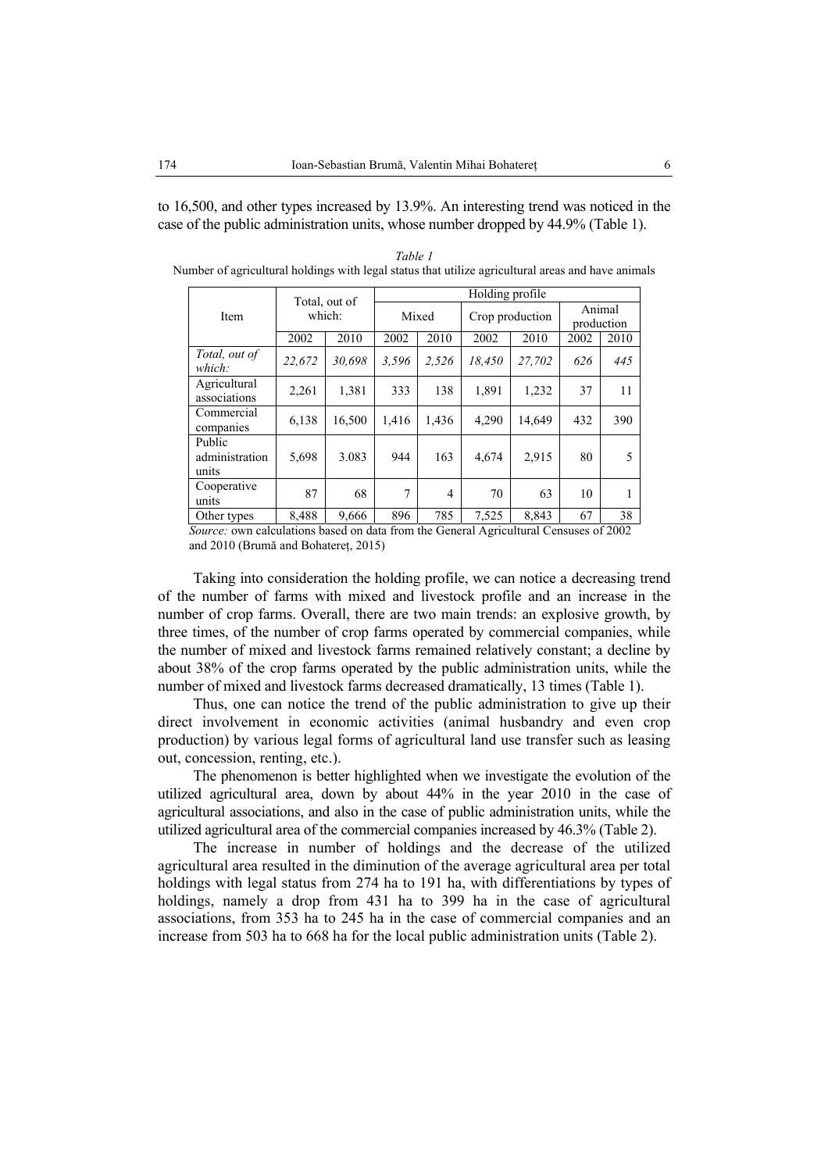to 16,500, and other types increased by 13.9%. An interesting trend was noticed in the case of the public administration units, whose number dropped by 44.9% (Table 1).

|                                   |        | Total, out of | Holding profile |                |        |                 |                      |      |  |  |  |
|-----------------------------------|--------|---------------|-----------------|----------------|--------|-----------------|----------------------|------|--|--|--|
| Item                              |        | which:        |                 | Mixed          |        | Crop production | Animal<br>production |      |  |  |  |
|                                   | 2002   | 2010          | 2002            | 2010           | 2002   | 2010            | 2002                 | 2010 |  |  |  |
| Total, out of<br>which:           | 22.672 | 30.698        | 3.596           | 2,526          | 18.450 | 27.702          | 626                  | 445  |  |  |  |
| Agricultural<br>associations      | 2,261  | 1,381         | 333             | 138            | 1,891  | 1,232           | 37                   | 11   |  |  |  |
| Commercial<br>companies           | 6,138  | 16,500        | 1,416           | 1,436          | 4,290  | 14,649          | 432                  | 390  |  |  |  |
| Public<br>administration<br>units | 5,698  | 3.083         | 944             | 163            | 4,674  | 2,915           | 80                   | 5    |  |  |  |
| Cooperative<br>units              | 87     | 68            | 7               | $\overline{4}$ | 70     | 63              | 10                   |      |  |  |  |

*Table 1*  Number of agricultural holdings with legal status that utilize agricultural areas and have animals

Other types 8,488 9,666 896 785 7,525 8,843 67 38  *Source:* own calculations based on data from the General Agricultural Censuses of 2002 and 2010 (Brumă and Bohatereţ, 2015)

Taking into consideration the holding profile, we can notice a decreasing trend of the number of farms with mixed and livestock profile and an increase in the number of crop farms. Overall, there are two main trends: an explosive growth, by three times, of the number of crop farms operated by commercial companies, while the number of mixed and livestock farms remained relatively constant; a decline by about 38% of the crop farms operated by the public administration units, while the number of mixed and livestock farms decreased dramatically, 13 times (Table 1).

Thus, one can notice the trend of the public administration to give up their direct involvement in economic activities (animal husbandry and even crop production) by various legal forms of agricultural land use transfer such as leasing out, concession, renting, etc.).

The phenomenon is better highlighted when we investigate the evolution of the utilized agricultural area, down by about 44% in the year 2010 in the case of agricultural associations, and also in the case of public administration units, while the utilized agricultural area of the commercial companies increased by 46.3% (Table 2).

The increase in number of holdings and the decrease of the utilized agricultural area resulted in the diminution of the average agricultural area per total holdings with legal status from 274 ha to 191 ha, with differentiations by types of holdings, namely a drop from 431 ha to 399 ha in the case of agricultural associations, from 353 ha to 245 ha in the case of commercial companies and an increase from 503 ha to 668 ha for the local public administration units (Table 2).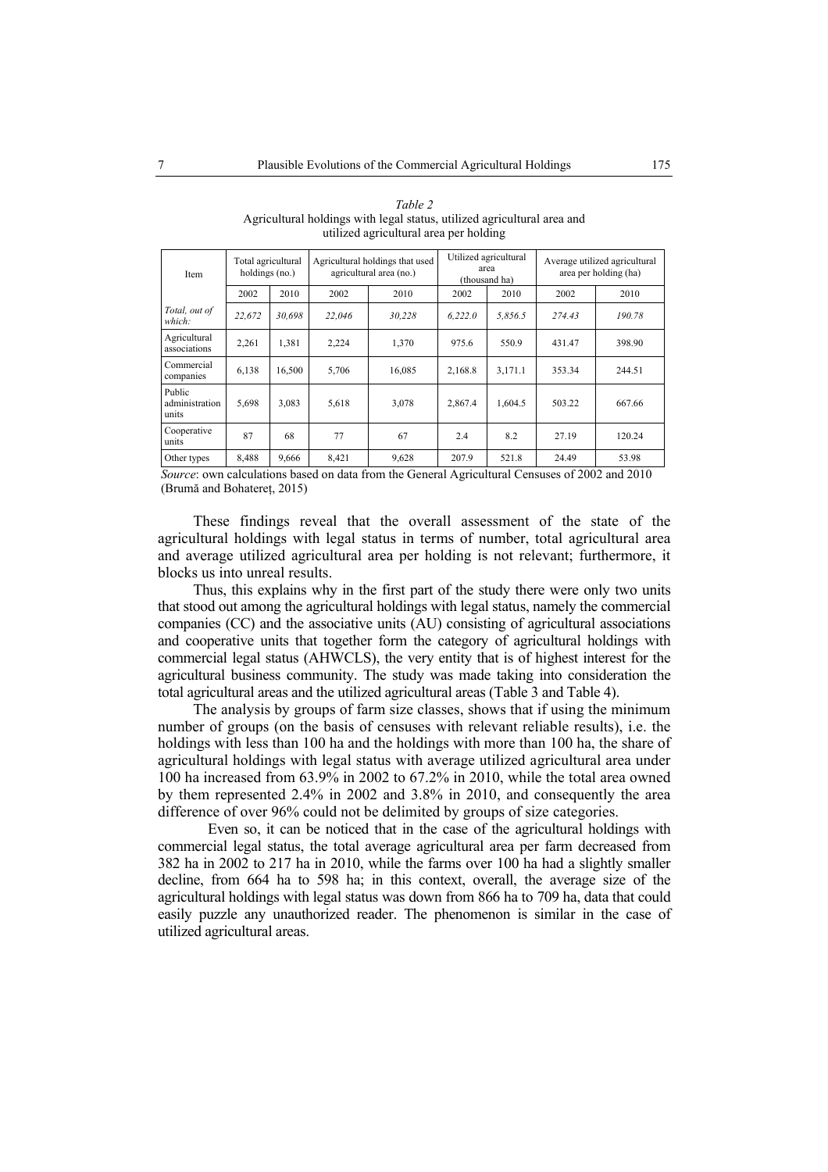*Table 2*  Agricultural holdings with legal status, utilized agricultural area and utilized agricultural area per holding

| Item                              | Total agricultural<br>holdings (no.) |        |        | Agricultural holdings that used<br>agricultural area (no.) |         | Utilized agricultural<br>area<br>(thousand ha) |        | Average utilized agricultural<br>area per holding (ha) |
|-----------------------------------|--------------------------------------|--------|--------|------------------------------------------------------------|---------|------------------------------------------------|--------|--------------------------------------------------------|
|                                   | 2002                                 | 2010   | 2002   | 2010                                                       | 2002    | 2010                                           | 2002   | 2010                                                   |
| Total, out of<br>which:           | 22,672                               | 30.698 | 22,046 | 30,228                                                     | 6,222.0 | 5,856.5                                        | 274.43 | 190.78                                                 |
| Agricultural<br>associations      | 2,261                                | 1,381  | 2,224  | 1,370                                                      | 975.6   | 550.9                                          | 431.47 | 398.90                                                 |
| Commercial<br>companies           | 6,138                                | 16.500 | 5,706  | 16,085                                                     | 2,168.8 | 3,171.1                                        | 353.34 | 244.51                                                 |
| Public<br>administration<br>units | 5,698                                | 3,083  | 5,618  | 3,078                                                      | 2,867.4 | 1.604.5                                        | 503.22 | 667.66                                                 |
| Cooperative<br>units              | 87                                   | 68     | 77     | 67                                                         | 2.4     | 8.2                                            | 27.19  | 120.24                                                 |
| Other types                       | 8,488                                | 9,666  | 8,421  | 9,628                                                      | 207.9   | 521.8                                          | 24.49  | 53.98                                                  |

 *Source*: own calculations based on data from the General Agricultural Censuses of 2002 and 2010 (Brumă and Bohatereţ, 2015)

These findings reveal that the overall assessment of the state of the agricultural holdings with legal status in terms of number, total agricultural area and average utilized agricultural area per holding is not relevant; furthermore, it blocks us into unreal results.

Thus, this explains why in the first part of the study there were only two units that stood out among the agricultural holdings with legal status, namely the commercial companies (CC) and the associative units (AU) consisting of agricultural associations and cooperative units that together form the category of agricultural holdings with commercial legal status (AHWCLS), the very entity that is of highest interest for the agricultural business community. The study was made taking into consideration the total agricultural areas and the utilized agricultural areas (Table 3 and Table 4).

The analysis by groups of farm size classes, shows that if using the minimum number of groups (on the basis of censuses with relevant reliable results), i.e. the holdings with less than 100 ha and the holdings with more than 100 ha, the share of agricultural holdings with legal status with average utilized agricultural area under 100 ha increased from 63.9% in 2002 to 67.2% in 2010, while the total area owned by them represented 2.4% in 2002 and 3.8% in 2010, and consequently the area difference of over 96% could not be delimited by groups of size categories.

 Even so, it can be noticed that in the case of the agricultural holdings with commercial legal status, the total average agricultural area per farm decreased from 382 ha in 2002 to 217 ha in 2010, while the farms over 100 ha had a slightly smaller decline, from 664 ha to 598 ha; in this context, overall, the average size of the agricultural holdings with legal status was down from 866 ha to 709 ha, data that could easily puzzle any unauthorized reader. The phenomenon is similar in the case of utilized agricultural areas.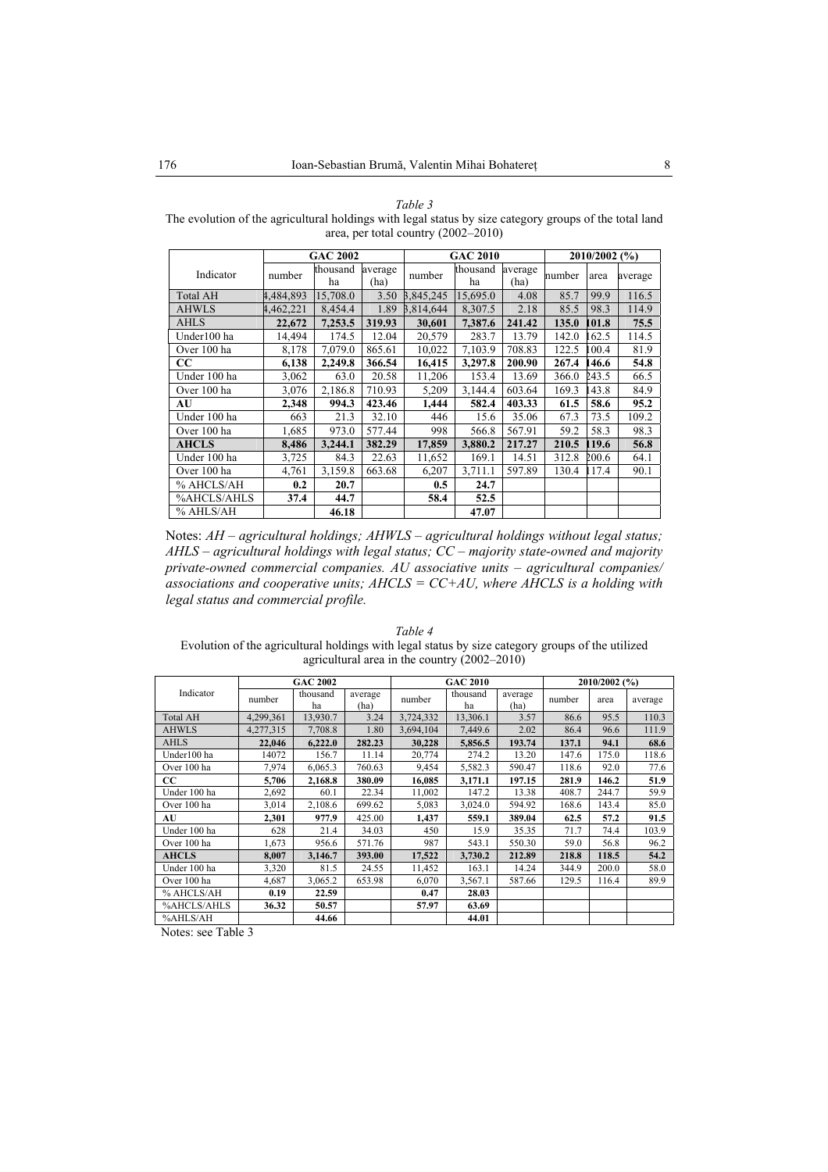| ۰,<br>I |  |
|---------|--|
|---------|--|

The evolution of the agricultural holdings with legal status by size category groups of the total land area, per total country (2002–2010)

|                 | <b>GAC 2002</b> |                |                 | <b>GAC 2010</b> | 2010/2002 (%)  |                 |        |       |         |
|-----------------|-----------------|----------------|-----------------|-----------------|----------------|-----------------|--------|-------|---------|
| Indicator       | number          | thousand<br>ha | average<br>(ha) | number          | thousand<br>ha | average<br>(ha) | number | area  | average |
| <b>Total AH</b> | 4,484,893       | 15,708.0       | 3.50            | 3,845,245       | 15,695.0       | 4.08            | 85.7   | 99.9  | 116.5   |
| <b>AHWLS</b>    | 4,462,221       | 8,454.4        | 1.89            | 3,814,644       | 8.307.5        | 2.18            | 85.5   | 98.3  | 114.9   |
| <b>AHLS</b>     | 22,672          | 7,253.5        | 319.93          | 30,601          | 7,387.6        | 241.42          | 135.0  | 101.8 | 75.5    |
| Under100 ha     | 14,494          | 174.5          | 12.04           | 20,579          | 283.7          | 13.79           | 142.0  | 62.5  | 114.5   |
| Over 100 ha     | 8,178           | 7,079.0        | 865.61          | 10,022          | 7,103.9        | 708.83          | 122.5  | 00.4  | 81.9    |
| $_{\rm CC}$     | 6,138           | 2,249.8        | 366.54          | 16.415          | 3,297.8        | 200.90          | 267.4  | 46.6  | 54.8    |
| Under 100 ha    | 3,062           | 63.0           | 20.58           | 11,206          | 153.4          | 13.69           | 366.0  | 243.5 | 66.5    |
| Over 100 ha     | 3,076           | 2,186.8        | 710.93          | 5,209           | 3,144.4        | 603.64          | 169.3  | 43.8  | 84.9    |
| AU              | 2.348           | 994.3          | 423.46          | 1,444           | 582.4          | 403.33          | 61.5   | 58.6  | 95.2    |
| Under 100 ha    | 663             | 21.3           | 32.10           | 446             | 15.6           | 35.06           | 67.3   | 73.5  | 109.2   |
| Over 100 ha     | 1,685           | 973.0          | 577.44          | 998             | 566.8          | 567.91          | 59.2   | 58.3  | 98.3    |
| <b>AHCLS</b>    | 8,486           | 3.244.1        | 382.29          | 17,859          | 3.880.2        | 217.27          | 210.5  | 119.6 | 56.8    |
| Under 100 ha    | 3,725           | 84.3           | 22.63           | 11,652          | 169.1          | 14.51           | 312.8  | 200.6 | 64.1    |
| Over 100 ha     | 4,761           | 3,159.8        | 663.68          | 6,207           | 3,711.1        | 597.89          | 130.4  | 17.4  | 90.1    |
| % AHCLS/AH      | 0.2             | 20.7           |                 | 0.5             | 24.7           |                 |        |       |         |
| %AHCLS/AHLS     | 37.4            | 44.7           |                 | 58.4            | 52.5           |                 |        |       |         |
| % AHLS/AH       |                 | 46.18          |                 |                 | 47.07          |                 |        |       |         |

Notes: *AH – agricultural holdings; AHWLS – agricultural holdings without legal status; AHLS – agricultural holdings with legal status; CC – majority state-owned and majority private-owned commercial companies. AU associative units – agricultural companies/ associations and cooperative units; AHCLS = CC+AU, where AHCLS is a holding with legal status and commercial profile.*

| Table 4                                                                                          |
|--------------------------------------------------------------------------------------------------|
| Evolution of the agricultural holdings with legal status by size category groups of the utilized |
| agricultural area in the country $(2002-2010)$                                                   |
|                                                                                                  |

|                 |           | <b>GAC 2002</b> |                 |           | <b>GAC 2010</b> |                 |        | 2010/2002 (%) |         |
|-----------------|-----------|-----------------|-----------------|-----------|-----------------|-----------------|--------|---------------|---------|
| Indicator       | number    | thousand<br>ha  | average<br>(ha) | number    | thousand<br>ha  | average<br>(ha) | number | area          | average |
| <b>Total AH</b> | 4,299,361 | 13,930.7        | 3.24            | 3,724,332 | 13,306.1        | 3.57            | 86.6   | 95.5          | 110.3   |
| <b>AHWLS</b>    | 4,277,315 | 7,708.8         | 1.80            | 3,694,104 | 7,449.6         | 2.02            | 86.4   | 96.6          | 111.9   |
| <b>AHLS</b>     | 22,046    | 6,222.0         | 282.23          | 30,228    | 5,856.5         | 193.74          | 137.1  | 94.1          | 68.6    |
| Under100 ha     | 14072     | 156.7           | 11.14           | 20,774    | 274.2           | 13.20           | 147.6  | 175.0         | 118.6   |
| Over 100 ha     | 7,974     | 6.065.3         | 760.63          | 9,454     | 5,582.3         | 590.47          | 118.6  | 92.0          | 77.6    |
| <b>CC</b>       | 5,706     | 2,168.8         | 380.09          | 16,085    | 3.171.1         | 197.15          | 281.9  | 146.2         | 51.9    |
| Under 100 ha    | 2,692     | 60.1            | 22.34           | 11,002    | 147.2           | 13.38           | 408.7  | 244.7         | 59.9    |
| Over 100 ha     | 3,014     | 2,108.6         | 699.62          | 5,083     | 3,024.0         | 594.92          | 168.6  | 143.4         | 85.0    |
| AU              | 2.301     | 977.9           | 425.00          | 1,437     | 559.1           | 389.04          | 62.5   | 57.2          | 91.5    |
| Under 100 ha    | 628       | 21.4            | 34.03           | 450       | 15.9            | 35.35           | 71.7   | 74.4          | 103.9   |
| Over 100 ha     | 1,673     | 956.6           | 571.76          | 987       | 543.1           | 550.30          | 59.0   | 56.8          | 96.2    |
| <b>AHCLS</b>    | 8,007     | 3,146.7         | 393.00          | 17,522    | 3,730.2         | 212.89          | 218.8  | 118.5         | 54.2    |
| Under 100 ha    | 3,320     | 81.5            | 24.55           | 11,452    | 163.1           | 14.24           | 344.9  | 200.0         | 58.0    |
| Over 100 ha     | 4,687     | 3,065.2         | 653.98          | 6,070     | 3,567.1         | 587.66          | 129.5  | 116.4         | 89.9    |
| % AHCLS/AH      | 0.19      | 22.59           |                 | 0.47      | 28.03           |                 |        |               |         |
| %AHCLS/AHLS     | 36.32     | 50.57           |                 | 57.97     | 63.69           |                 |        |               |         |
| %AHLS/AH        |           | 44.66           |                 |           | 44.01           |                 |        |               |         |

Notes: see Table 3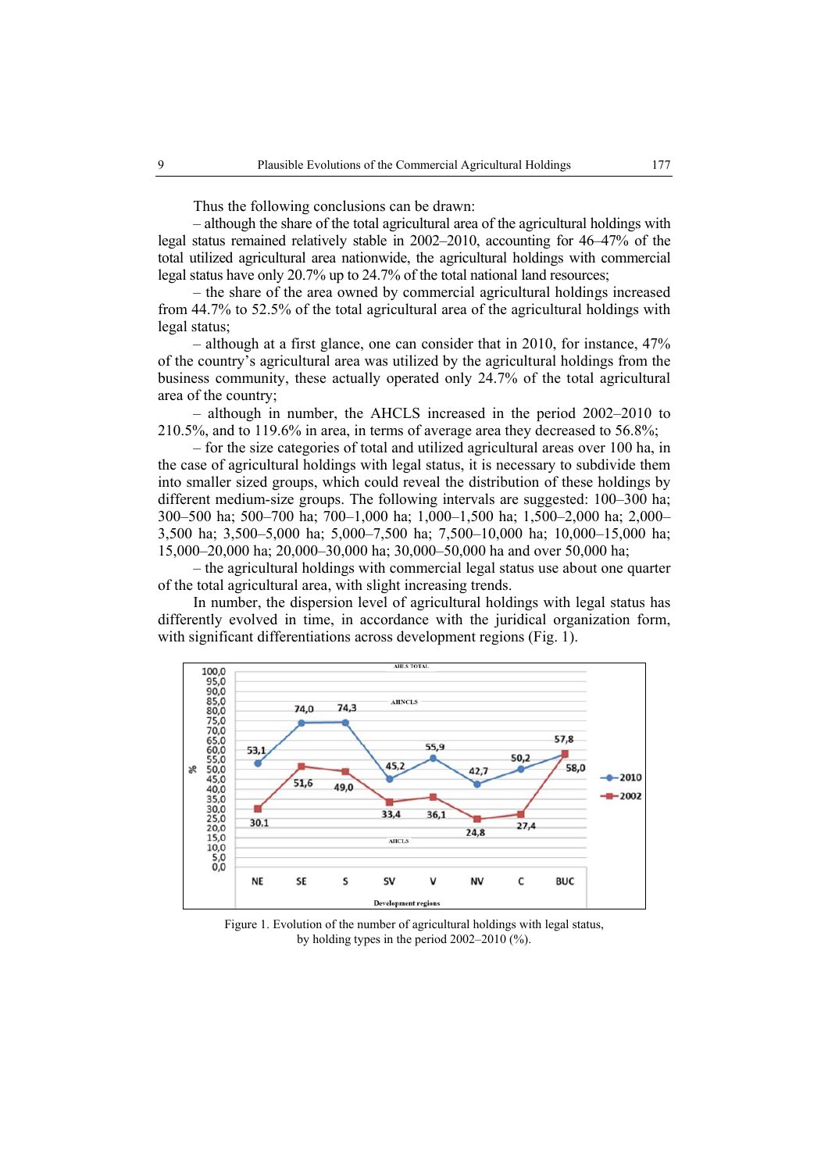Thus the following conclusions can be drawn:

– although the share of the total agricultural area of the agricultural holdings with legal status remained relatively stable in 2002–2010, accounting for 46–47% of the total utilized agricultural area nationwide, the agricultural holdings with commercial legal status have only 20.7% up to 24.7% of the total national land resources;

– the share of the area owned by commercial agricultural holdings increased from 44.7% to 52.5% of the total agricultural area of the agricultural holdings with legal status;

– although at a first glance, one can consider that in 2010, for instance, 47% of the country's agricultural area was utilized by the agricultural holdings from the business community, these actually operated only 24.7% of the total agricultural area of the country;

– although in number, the AHCLS increased in the period 2002–2010 to 210.5%, and to 119.6% in area, in terms of average area they decreased to 56.8%;

– for the size categories of total and utilized agricultural areas over 100 ha, in the case of agricultural holdings with legal status, it is necessary to subdivide them into smaller sized groups, which could reveal the distribution of these holdings by different medium-size groups. The following intervals are suggested: 100–300 ha; 300–500 ha; 500–700 ha; 700–1,000 ha; 1,000–1,500 ha; 1,500–2,000 ha; 2,000– 3,500 ha; 3,500–5,000 ha; 5,000–7,500 ha; 7,500–10,000 ha; 10,000–15,000 ha; 15,000–20,000 ha; 20,000–30,000 ha; 30,000–50,000 ha and over 50,000 ha;

– the agricultural holdings with commercial legal status use about one quarter of the total agricultural area, with slight increasing trends.

In number, the dispersion level of agricultural holdings with legal status has differently evolved in time, in accordance with the juridical organization form, with significant differentiations across development regions (Fig. 1).



Figure 1. Evolution of the number of agricultural holdings with legal status, by holding types in the period 2002–2010 (%).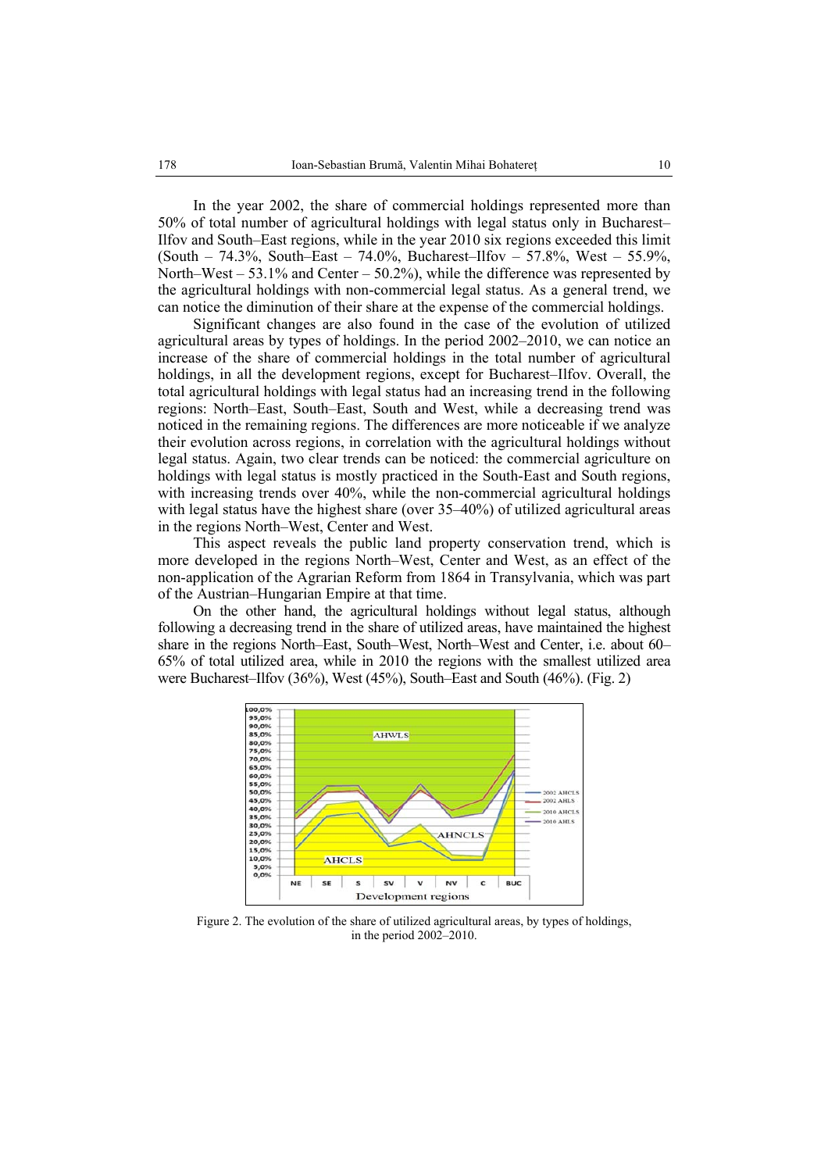In the year 2002, the share of commercial holdings represented more than 50% of total number of agricultural holdings with legal status only in Bucharest– Ilfov and South–East regions, while in the year 2010 six regions exceeded this limit (South – 74.3%, South–East – 74.0%, Bucharest–Ilfov – 57.8%, West – 55.9%, North–West – 53.1% and Center – 50.2%), while the difference was represented by the agricultural holdings with non-commercial legal status. As a general trend, we can notice the diminution of their share at the expense of the commercial holdings.

Significant changes are also found in the case of the evolution of utilized agricultural areas by types of holdings. In the period 2002–2010, we can notice an increase of the share of commercial holdings in the total number of agricultural holdings, in all the development regions, except for Bucharest–Ilfov. Overall, the total agricultural holdings with legal status had an increasing trend in the following regions: North–East, South–East, South and West, while a decreasing trend was noticed in the remaining regions. The differences are more noticeable if we analyze their evolution across regions, in correlation with the agricultural holdings without legal status. Again, two clear trends can be noticed: the commercial agriculture on holdings with legal status is mostly practiced in the South-East and South regions, with increasing trends over 40%, while the non-commercial agricultural holdings with legal status have the highest share (over 35–40%) of utilized agricultural areas in the regions North–West, Center and West.

This aspect reveals the public land property conservation trend, which is more developed in the regions North–West, Center and West, as an effect of the non-application of the Agrarian Reform from 1864 in Transylvania, which was part of the Austrian–Hungarian Empire at that time.

On the other hand, the agricultural holdings without legal status, although following a decreasing trend in the share of utilized areas, have maintained the highest share in the regions North–East, South–West, North–West and Center, i.e. about 60– 65% of total utilized area, while in 2010 the regions with the smallest utilized area were Bucharest–Ilfov (36%), West (45%), South–East and South (46%). (Fig. 2)



Figure 2. The evolution of the share of utilized agricultural areas, by types of holdings, in the period 2002–2010.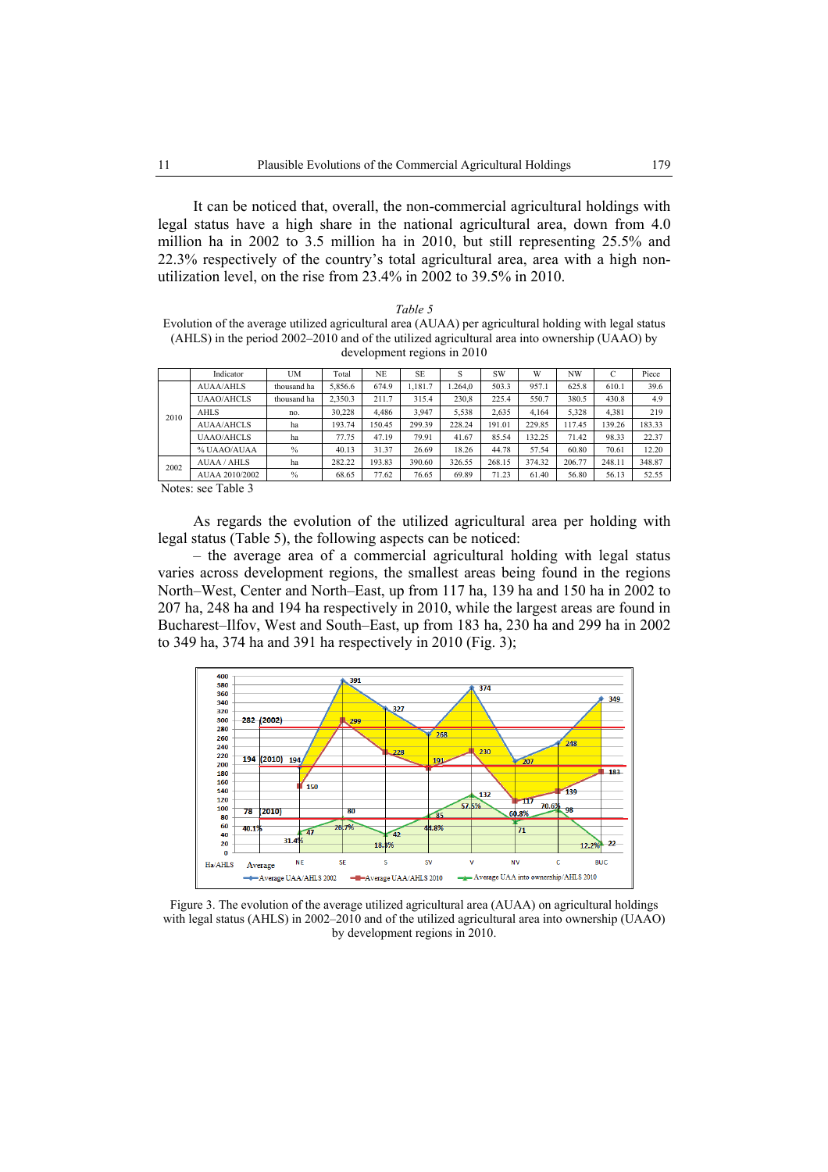It can be noticed that, overall, the non-commercial agricultural holdings with legal status have a high share in the national agricultural area, down from 4.0 million ha in 2002 to 3.5 million ha in 2010, but still representing 25.5% and 22.3% respectively of the country's total agricultural area, area with a high nonutilization level, on the rise from 23.4% in 2002 to 39.5% in 2010.

*Table 5*  Evolution of the average utilized agricultural area (AUAA) per agricultural holding with legal status (AHLS) in the period 2002–2010 and of the utilized agricultural area into ownership (UAAO) by development regions in 2010

|      | Indicator                                           | UM            | Total   | <b>NE</b> | <b>SE</b> | S       | <b>SW</b> | W      | NW     | C      | Piece  |
|------|-----------------------------------------------------|---------------|---------|-----------|-----------|---------|-----------|--------|--------|--------|--------|
|      | <b>AUAA/AHLS</b>                                    | thousand ha   | 5.856.6 | 674.9     | 1.181.7   | 1.264.0 | 503.3     | 957.1  | 625.8  | 610.1  | 39.6   |
|      | <b>UAAO/AHCLS</b>                                   | thousand ha   | 2.350.3 | 211.7     | 315.4     | 230,8   | 225.4     | 550.7  | 380.5  | 430.8  | 4.9    |
| 2010 | <b>AHLS</b>                                         | no.           | 30.228  | 4.486     | 3.947     | 5,538   | 2.635     | 4.164  | 5.328  | 4.381  | 219    |
|      | <b>AUAA/AHCLS</b>                                   | ha            | 193.74  | 150.45    | 299.39    | 228.24  | 191.01    | 229.85 | 117.45 | 139.26 | 183.33 |
|      | <b>UAAO/AHCLS</b>                                   | ha            | 77.75   | 47.19     | 79.91     | 41.67   | 85.54     | 132.25 | 71.42  | 98.33  | 22.37  |
|      | % UAAO/AUAA                                         | $\frac{0}{0}$ | 40.13   | 31.37     | 26.69     | 18.26   | 44.78     | 57.54  | 60.80  | 70.61  | 12.20  |
| 2002 | AUAA / AHLS                                         | ha            | 282.22  | 193.83    | 390.60    | 326.55  | 268.15    | 374.32 | 206.77 | 248.11 | 348.87 |
|      | AUAA 2010/2002                                      | $\frac{0}{0}$ | 68.65   | 77.62     | 76.65     | 69.89   | 71.23     | 61.40  | 56.80  | 56.13  | 52.55  |
|      | $\mathbf{r}$ $\mathbf{r}$ $\mathbf{r}$ $\mathbf{r}$ |               |         |           |           |         |           |        |        |        |        |

Notes: see Table 3

As regards the evolution of the utilized agricultural area per holding with legal status (Table 5), the following aspects can be noticed:

– the average area of a commercial agricultural holding with legal status varies across development regions, the smallest areas being found in the regions North–West, Center and North–East, up from 117 ha, 139 ha and 150 ha in 2002 to 207 ha, 248 ha and 194 ha respectively in 2010, while the largest areas are found in Bucharest–Ilfov, West and South–East, up from 183 ha, 230 ha and 299 ha in 2002 to 349 ha, 374 ha and 391 ha respectively in 2010 (Fig. 3);



Figure 3. The evolution of the average utilized agricultural area (AUAA) on agricultural holdings with legal status (AHLS) in 2002–2010 and of the utilized agricultural area into ownership (UAAO) by development regions in 2010.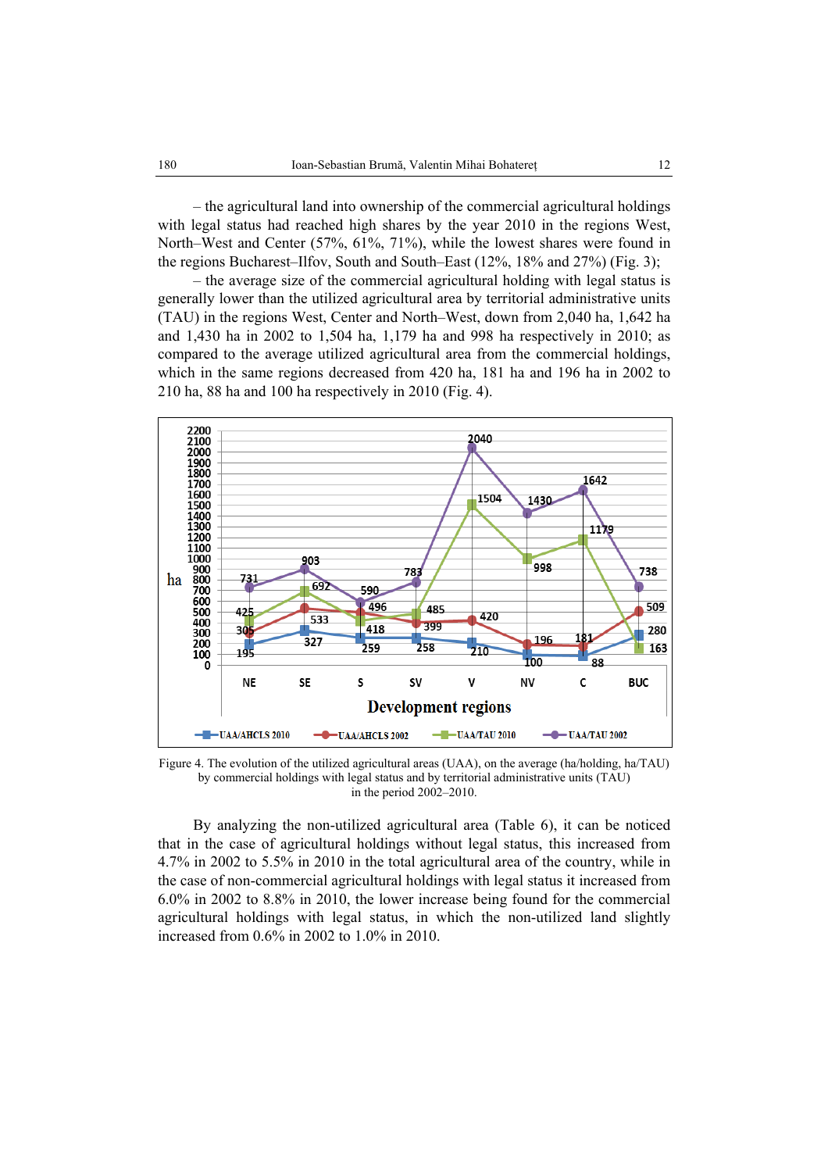– the agricultural land into ownership of the commercial agricultural holdings with legal status had reached high shares by the year 2010 in the regions West, North–West and Center (57%, 61%, 71%), while the lowest shares were found in the regions Bucharest–Ilfov, South and South–East (12%, 18% and 27%) (Fig. 3);

– the average size of the commercial agricultural holding with legal status is generally lower than the utilized agricultural area by territorial administrative units (TAU) in the regions West, Center and North–West, down from 2,040 ha, 1,642 ha and 1,430 ha in 2002 to 1,504 ha, 1,179 ha and 998 ha respectively in 2010; as compared to the average utilized agricultural area from the commercial holdings, which in the same regions decreased from 420 ha, 181 ha and 196 ha in 2002 to 210 ha, 88 ha and 100 ha respectively in 2010 (Fig. 4).



Figure 4. The evolution of the utilized agricultural areas (UAA), on the average (ha/holding, ha/TAU) by commercial holdings with legal status and by territorial administrative units (TAU) in the period 2002–2010.

By analyzing the non-utilized agricultural area (Table 6), it can be noticed that in the case of agricultural holdings without legal status, this increased from 4.7% in 2002 to 5.5% in 2010 in the total agricultural area of the country, while in the case of non-commercial agricultural holdings with legal status it increased from 6.0% in 2002 to 8.8% in 2010, the lower increase being found for the commercial agricultural holdings with legal status, in which the non-utilized land slightly increased from 0.6% in 2002 to 1.0% in 2010.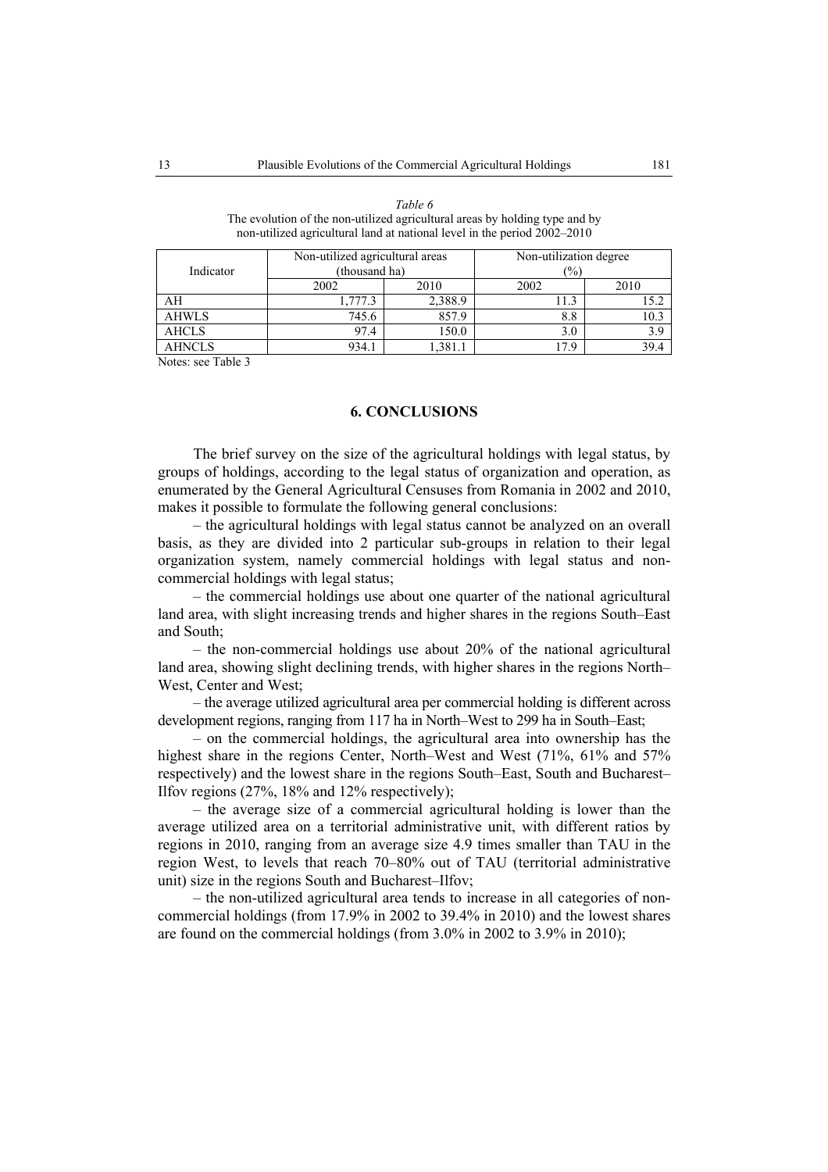| Indicator     | Non-utilized agricultural areas<br>(thousand ha) |         | Non-utilization degree<br>(%) |      |  |  |
|---------------|--------------------------------------------------|---------|-------------------------------|------|--|--|
|               | 2002<br>2002<br>2010                             |         |                               | 2010 |  |  |
| AH            | l.777.3                                          | 2,388.9 |                               |      |  |  |
| <b>AHWLS</b>  | 745.6                                            | 857.9   | 8.8                           | 10.3 |  |  |
| <b>AHCLS</b>  | 97.4                                             | 150.0   | 3.0                           | 3.9  |  |  |
| <b>AHNCLS</b> | 934.1                                            | 1,381.  | 179                           | 39.4 |  |  |

*Table 6*  The evolution of the non-utilized agricultural areas by holding type and by non-utilized agricultural land at national level in the period 2002–2010

Notes: see Table 3

### **6. CONCLUSIONS**

The brief survey on the size of the agricultural holdings with legal status, by groups of holdings, according to the legal status of organization and operation, as enumerated by the General Agricultural Censuses from Romania in 2002 and 2010, makes it possible to formulate the following general conclusions:

– the agricultural holdings with legal status cannot be analyzed on an overall basis, as they are divided into 2 particular sub-groups in relation to their legal organization system, namely commercial holdings with legal status and noncommercial holdings with legal status;

– the commercial holdings use about one quarter of the national agricultural land area, with slight increasing trends and higher shares in the regions South–East and South;

– the non-commercial holdings use about 20% of the national agricultural land area, showing slight declining trends, with higher shares in the regions North– West, Center and West;

– the average utilized agricultural area per commercial holding is different across development regions, ranging from 117 ha in North–West to 299 ha in South–East;

– on the commercial holdings, the agricultural area into ownership has the highest share in the regions Center, North–West and West (71%, 61% and 57% respectively) and the lowest share in the regions South–East, South and Bucharest– Ilfov regions (27%, 18% and 12% respectively);

– the average size of a commercial agricultural holding is lower than the average utilized area on a territorial administrative unit, with different ratios by regions in 2010, ranging from an average size 4.9 times smaller than TAU in the region West, to levels that reach 70–80% out of TAU (territorial administrative unit) size in the regions South and Bucharest–Ilfov;

– the non-utilized agricultural area tends to increase in all categories of noncommercial holdings (from 17.9% in 2002 to 39.4% in 2010) and the lowest shares are found on the commercial holdings (from 3.0% in 2002 to 3.9% in 2010);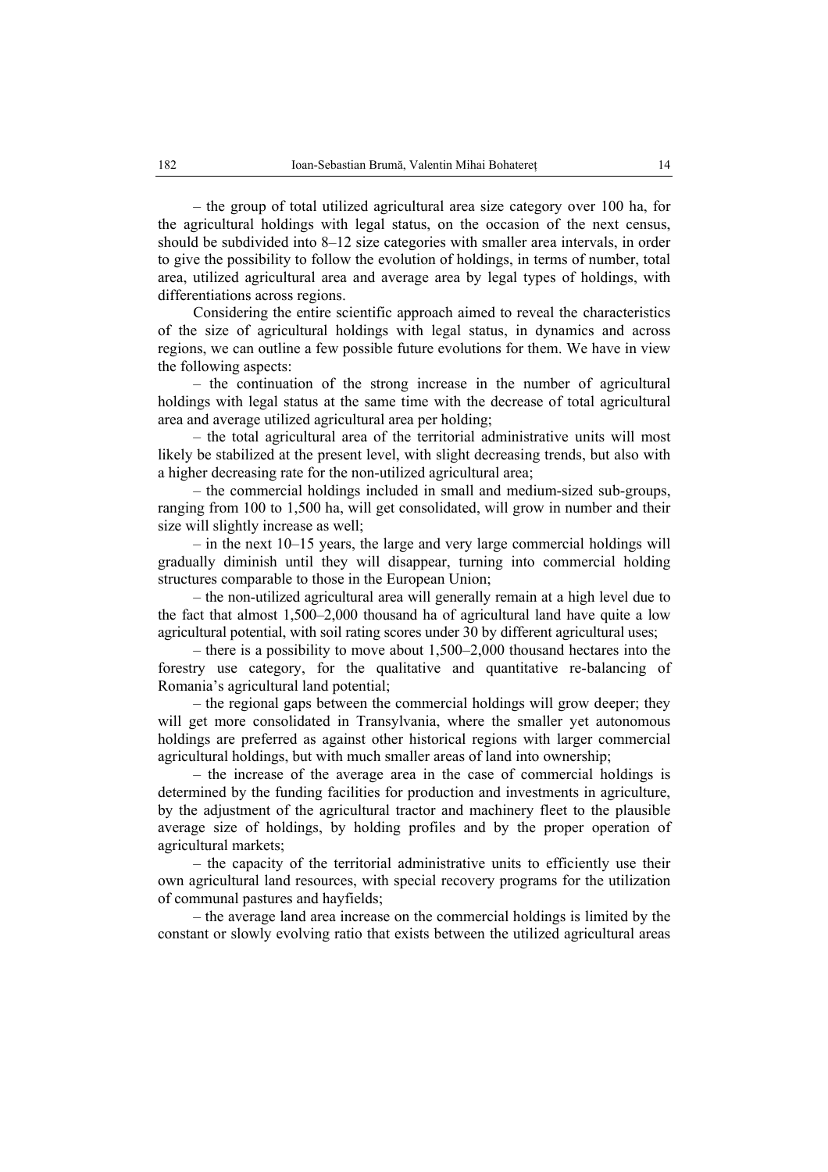– the group of total utilized agricultural area size category over 100 ha, for the agricultural holdings with legal status, on the occasion of the next census, should be subdivided into 8–12 size categories with smaller area intervals, in order to give the possibility to follow the evolution of holdings, in terms of number, total area, utilized agricultural area and average area by legal types of holdings, with differentiations across regions.

Considering the entire scientific approach aimed to reveal the characteristics of the size of agricultural holdings with legal status, in dynamics and across regions, we can outline a few possible future evolutions for them. We have in view the following aspects:

– the continuation of the strong increase in the number of agricultural holdings with legal status at the same time with the decrease of total agricultural area and average utilized agricultural area per holding;

– the total agricultural area of the territorial administrative units will most likely be stabilized at the present level, with slight decreasing trends, but also with a higher decreasing rate for the non-utilized agricultural area;

– the commercial holdings included in small and medium-sized sub-groups, ranging from 100 to 1,500 ha, will get consolidated, will grow in number and their size will slightly increase as well;

– in the next 10–15 years, the large and very large commercial holdings will gradually diminish until they will disappear, turning into commercial holding structures comparable to those in the European Union;

– the non-utilized agricultural area will generally remain at a high level due to the fact that almost 1,500–2,000 thousand ha of agricultural land have quite a low agricultural potential, with soil rating scores under 30 by different agricultural uses;

– there is a possibility to move about 1,500–2,000 thousand hectares into the forestry use category, for the qualitative and quantitative re-balancing of Romania's agricultural land potential;

– the regional gaps between the commercial holdings will grow deeper; they will get more consolidated in Transylvania, where the smaller yet autonomous holdings are preferred as against other historical regions with larger commercial agricultural holdings, but with much smaller areas of land into ownership;

– the increase of the average area in the case of commercial holdings is determined by the funding facilities for production and investments in agriculture, by the adjustment of the agricultural tractor and machinery fleet to the plausible average size of holdings, by holding profiles and by the proper operation of agricultural markets;

– the capacity of the territorial administrative units to efficiently use their own agricultural land resources, with special recovery programs for the utilization of communal pastures and hayfields;

– the average land area increase on the commercial holdings is limited by the constant or slowly evolving ratio that exists between the utilized agricultural areas